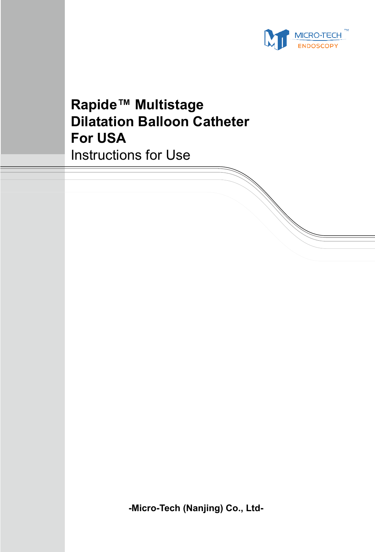

# **Rapide™ Multistage Dilatation Balloon Catheter For USA** Instructions for Use

**-Micro-Tech (Nanjing) Co., Ltd-**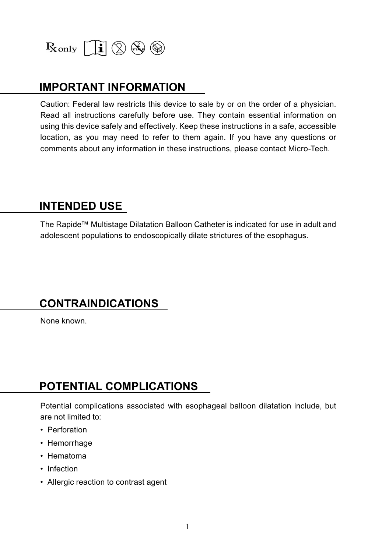

#### **IMPORTANT INFORMATION**

Caution: Federal law restricts this device to sale by or on the order of a physician. Read all instructions carefully before use. They contain essential information on using this device safely and effectively. Keep these instructions in a safe, accessible location, as you may need to refer to them again. If you have any questions or comments about any information in these instructions, please contact Micro-Tech.

#### **INTENDED USE**

The Rapide™ Multistage Dilatation Balloon Catheter is indicated for use in adult and adolescent populations to endoscopically dilate strictures of the esophagus.

#### **CONTRAINDICATIONS**

None known.

## **POTENTIAL COMPLICATIONS**

Potential complications associated with esophageal balloon dilatation include, but are not limited to:

- Perforation
- Hemorrhage
- Hematoma
- Infection
- Allergic reaction to contrast agent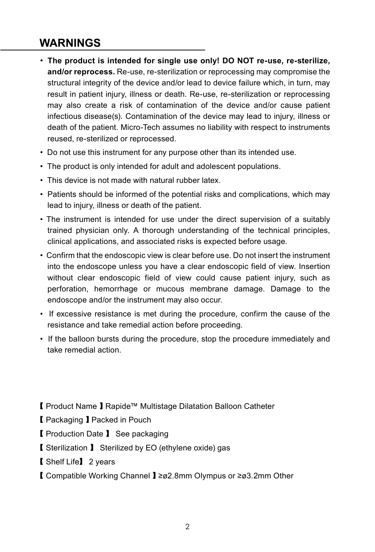## **WARNINGS**

- **The product is intended for single use only! DO NOT re-use, re-sterilize, and/or reprocess.** Re-use, re-sterilization or reprocessing may compromise the structural integrity of the device and/or lead to device failure which, in turn, may result in patient injury, illness or death. Re-use, re-sterilization or reprocessing may also create a risk of contamination of the device and/or cause patient infectious disease(s). Contamination of the device may lead to injury, illness or death of the patient. Micro-Tech assumes no liability with respect to instruments reused, re-sterilized or reprocessed.
- Do not use this instrument for any purpose other than its intended use.
- The product is only intended for adult and adolescent populations.
- This device is not made with natural rubber latex.
- Patients should be informed of the potential risks and complications, which may lead to injury, illness or death of the patient.
- The instrument is intended for use under the direct supervision of a suitably trained physician only. A thorough understanding of the technical principles, clinical applications, and associated risks is expected before usage.
- Confirm that the endoscopic view is clear before use. Do not insert the instrument into the endoscope unless you have a clear endoscopic field of view. Insertion without clear endoscopic field of view could cause patient injury, such as perforation, hemorrhage or mucous membrane damage. Damage to the endoscope and/or the instrument may also occur.
- If excessive resistance is met during the procedure, confirm the cause of the resistance and take remedial action before proceeding.
- If the balloon bursts during the procedure, stop the procedure immediately and take remedial action.
- 【 Product Name 】Rapide™ Multistage Dilatation Balloon Catheter
- 【 Packaging 】Packed in Pouch
- 【 Production Date 】 See packaging
- 【 Sterilization 】 Sterilized by EO (ethylene oxide) gas
- 【 Shelf Life】 2 years
- 【 Compatible Working Channel 】≥ø2.8mm Olympus or ≥ø3.2mm Other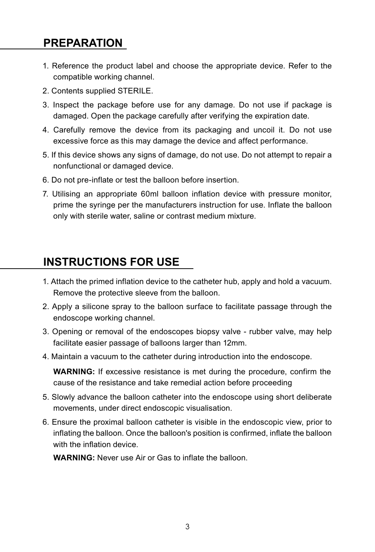#### **PREPARATION**

- 1. Reference the product label and choose the appropriate device. Refer to the compatible working channel.
- 2. Contents supplied STERILE.
- 3. Inspect the package before use for any damage. Do not use if package is damaged. Open the package carefully after verifying the expiration date.
- 4. Carefully remove the device from its packaging and uncoil it. Do not use excessive force as this may damage the device and affect performance.
- 5. If this device shows any signs of damage, do not use. Do not attempt to repair a nonfunctional or damaged device.
- 6. Do not pre-inflate or test the balloon before insertion.
- 7. Utilising an appropriate 60ml balloon inflation device with pressure monitor, prime the syringe per the manufacturers instruction for use. Inflate the balloon only with sterile water, saline or contrast medium mixture.

#### **INSTRUCTIONS FOR USE**

- 1. Attach the primed inflation device to the catheter hub, apply and hold a vacuum. Remove the protective sleeve from the balloon.
- 2. Apply a silicone spray to the balloon surface to facilitate passage through the endoscope working channel.
- 3. Opening or removal of the endoscopes biopsy valve rubber valve, may help facilitate easier passage of balloons larger than 12mm.
- 4. Maintain a vacuum to the catheter during introduction into the endoscope.

**WARNING:** If excessive resistance is met during the procedure, confirm the cause of the resistance and take remedial action before proceeding

- 5. Slowly advance the balloon catheter into the endoscope using short deliberate movements, under direct endoscopic visualisation.
- 6. Ensure the proximal balloon catheter is visible in the endoscopic view, prior to inflating the balloon. Once the balloon's position is confirmed, inflate the balloon with the inflation device.

**WARNING:** Never use Air or Gas to inflate the balloon.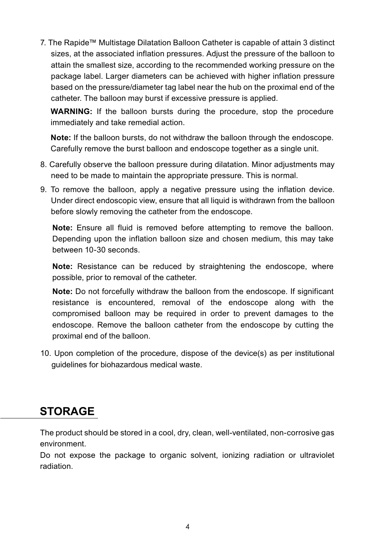7. The Rapide™ Multistage Dilatation Balloon Catheter is capable of attain 3 distinct sizes, at the associated inflation pressures. Adjust the pressure of the balloon to attain the smallest size, according to the recommended working pressure on the package label. Larger diameters can be achieved with higher inflation pressure based on the pressure/diameter tag label near the hub on the proximal end of the catheter. The balloon may burst if excessive pressure is applied.

**WARNING:** If the balloon bursts during the procedure, stop the procedure immediately and take remedial action.

**Note:** If the balloon bursts, do not withdraw the balloon through the endoscope. Carefully remove the burst balloon and endoscope together as a single unit.

- 8. Carefully observe the balloon pressure during dilatation. Minor adjustments may need to be made to maintain the appropriate pressure. This is normal.
- 9. To remove the balloon, apply a negative pressure using the inflation device. Under direct endoscopic view, ensure that all liquid is withdrawn from the balloon before slowly removing the catheter from the endoscope.

**Note:** Ensure all fluid is removed before attempting to remove the balloon. Depending upon the inflation balloon size and chosen medium, this may take between 10-30 seconds.

**Note:** Resistance can be reduced by straightening the endoscope, where possible, prior to removal of the catheter.

**Note:** Do not forcefully withdraw the balloon from the endoscope. If significant resistance is encountered, removal of the endoscope along with the compromised balloon may be required in order to prevent damages to the endoscope. Remove the balloon catheter from the endoscope by cutting the proximal end of the balloon.

10. Upon completion of the procedure, dispose of the device(s) as per institutional guidelines for biohazardous medical waste.

## **STORAGE**

The product should be stored in a cool, dry, clean, well-ventilated, non-corrosive gas environment.

Do not expose the package to organic solvent, ionizing radiation or ultraviolet radiation.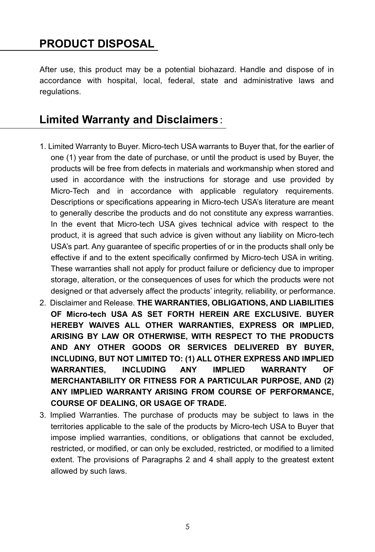#### **PRODUCT DISPOSAL**

After use, this product may be a potential biohazard. Handle and dispose of in accordance with hospital, local, federal, state and administrative laws and regulations.

#### **Limited Warranty and Disclaimers**:

- 1. Limited Warranty to Buyer. Micro-tech USA warrants to Buyer that, for the earlier of one (1) year from the date of purchase, or until the product is used by Buyer, the products will be free from defects in materials and workmanship when stored and used in accordance with the instructions for storage and use provided by Micro-Tech and in accordance with applicable regulatory requirements. Descriptions or specifications appearing in Micro-tech USA's literature are meant to generally describe the products and do not constitute any express warranties. In the event that Micro-tech USA gives technical advice with respect to the product, it is agreed that such advice is given without any liability on Micro-tech USA's part. Any guarantee of specific properties of or in the products shall only be effective if and to the extent specifically confirmed by Micro-tech USA in writing. These warranties shall not apply for product failure or deficiency due to improper storage, alteration, or the consequences of uses for which the products were not designed or that adversely affect the products' integrity, reliability, or performance.
- 2. Disclaimer and Release. **THE WARRANTIES, OBLIGATIONS, AND LIABILITIES OF Micro-tech USA AS SET FORTH HEREIN ARE EXCLUSIVE. BUYER HEREBY WAIVES ALL OTHER WARRANTIES, EXPRESS OR IMPLIED, ARISING BY LAW OR OTHERWISE, WITH RESPECT TO THE PRODUCTS AND ANY OTHER GOODS OR SERVICES DELIVERED BY BUYER, INCLUDING, BUT NOT LIMITED TO: (1) ALL OTHER EXPRESS AND IMPLIED WARRANTIES, INCLUDING ANY IMPLIED WARRANTY OF MERCHANTABILITY OR FITNESS FOR A PARTICULAR PURPOSE, AND (2) ANY IMPLIED WARRANTY ARISING FROM COURSE OF PERFORMANCE, COURSE OF DEALING, OR USAGE OF TRADE.**
- 3. Implied Warranties. The purchase of products may be subject to laws in the territories applicable to the sale of the products by Micro-tech USA to Buyer that impose implied warranties, conditions, or obligations that cannot be excluded, restricted, or modified, or can only be excluded, restricted, or modified to a limited extent. The provisions of Paragraphs 2 and 4 shall apply to the greatest extent allowed by such laws.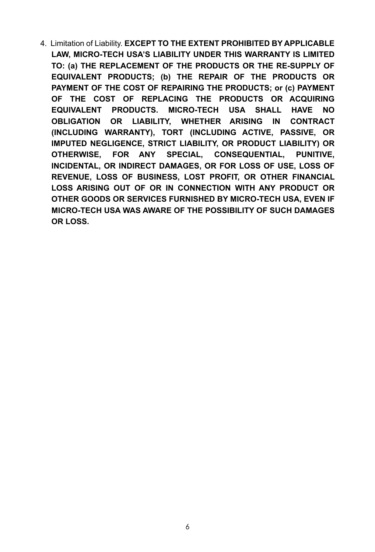4. Limitation of Liability. **EXCEPT TO THE EXTENT PROHIBITED BY APPLICABLE LAW, MICRO-TECH USA'S LIABILITY UNDER THIS WARRANTY IS LIMITED TO: (a) THE REPLACEMENT OF THE PRODUCTS OR THE RE-SUPPLY OF EQUIVALENT PRODUCTS; (b) THE REPAIR OF THE PRODUCTS OR PAYMENT OF THE COST OF REPAIRING THE PRODUCTS; or (c) PAYMENT OF THE COST OF REPLACING THE PRODUCTS OR ACQUIRING EQUIVALENT PRODUCTS. MICRO-TECH USA SHALL HAVE NO OBLIGATION OR LIABILITY, WHETHER ARISING IN CONTRACT (INCLUDING WARRANTY), TORT (INCLUDING ACTIVE, PASSIVE, OR IMPUTED NEGLIGENCE, STRICT LIABILITY, OR PRODUCT LIABILITY) OR OTHERWISE, FOR ANY SPECIAL, CONSEQUENTIAL, PUNITIVE, INCIDENTAL, OR INDIRECT DAMAGES, OR FOR LOSS OF USE, LOSS OF REVENUE, LOSS OF BUSINESS, LOST PROFIT, OR OTHER FINANCIAL LOSS ARISING OUT OF OR IN CONNECTION WITH ANY PRODUCT OR OTHER GOODS OR SERVICES FURNISHED BY MICRO-TECH USA, EVEN IF MICRO-TECH USA WAS AWARE OF THE POSSIBILITY OF SUCH DAMAGES OR LOSS.**